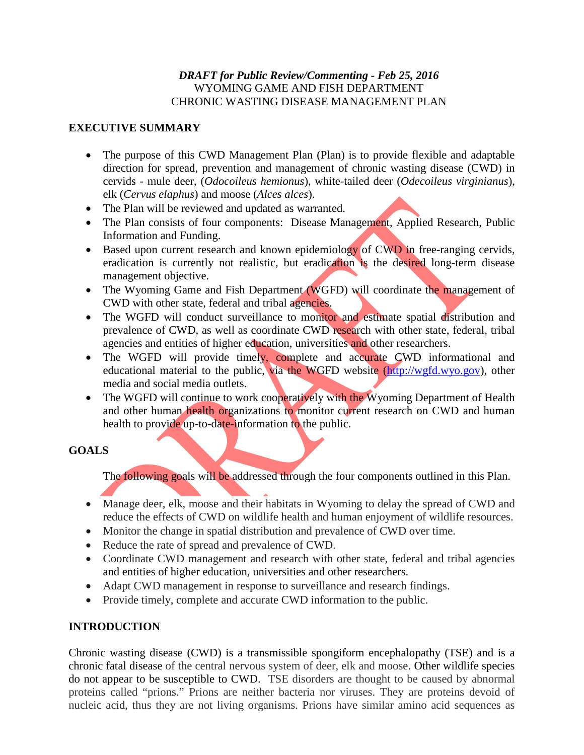### *DRAFT for Public Review/Commenting - Feb 25, 2016* WYOMING GAME AND FISH DEPARTMENT CHRONIC WASTING DISEASE MANAGEMENT PLAN

## **EXECUTIVE SUMMARY**

- The purpose of this CWD Management Plan (Plan) is to provide flexible and adaptable direction for spread, prevention and management of chronic wasting disease (CWD) in cervids - mule deer, (*Odocoileus hemionus*), white-tailed deer (*Odecoileus virginianus*), elk (*Cervus elaphus*) and moose (*Alces alces*).
- The Plan will be reviewed and updated as warranted.
- The Plan consists of four components: Disease Management, Applied Research, Public Information and Funding.
- Based upon current research and known epidemiology of CWD in free-ranging cervids, eradication is currently not realistic, but eradication is the desired long-term disease management objective.
- The Wyoming Game and Fish Department (WGFD) will coordinate the management of CWD with other state, federal and tribal agencies.
- The WGFD will conduct surveillance to monitor and estimate spatial distribution and prevalence of CWD, as well as coordinate CWD research with other state, federal, tribal agencies and entities of higher education, universities and other researchers.
- The WGFD will provide timely, complete and accurate CWD informational and educational material to the public, via the WGFD website [\(http://wgfd.wyo.gov\)](http://wgfd.wyo.gov/), other media and social media outlets.
- The WGFD will continue to work cooperatively with the Wyoming Department of Health and other human health organizations to monitor current research on CWD and human health to provide up-to-date-information to the public.

## **GOALS**

The following goals will be addressed through the four components outlined in this Plan.

- Manage deer, elk, moose and their habitats in Wyoming to delay the spread of CWD and reduce the effects of CWD on wildlife health and human enjoyment of wildlife resources.
- Monitor the change in spatial distribution and prevalence of CWD over time.
- Reduce the rate of spread and prevalence of CWD.
- Coordinate CWD management and research with other state, federal and tribal agencies and entities of higher education, universities and other researchers.
- Adapt CWD management in response to surveillance and research findings.
- Provide timely, complete and accurate CWD information to the public.

# **INTRODUCTION**

Chronic wasting disease (CWD) is a transmissible spongiform encephalopathy (TSE) and is a chronic fatal disease of the central nervous system of deer, elk and moose. Other wildlife species do not appear to be susceptible to CWD. TSE disorders are thought to be caused by abnormal proteins called "prions." Prions are neither bacteria nor viruses. They are proteins devoid of nucleic acid, thus they are not living organisms. Prions have similar amino acid sequences as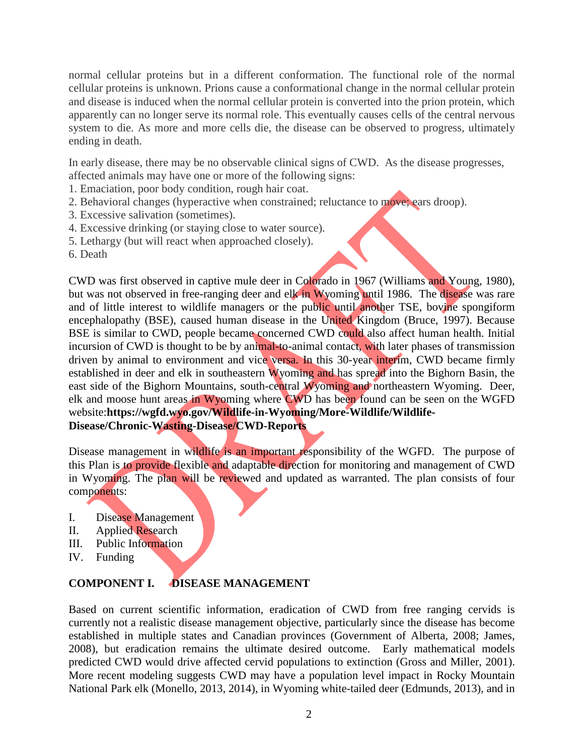normal cellular proteins but in a different conformation. The functional role of the normal cellular proteins is unknown. Prions cause a conformational change in the normal cellular protein and disease is induced when the normal cellular protein is converted into the prion protein, which apparently can no longer serve its normal role. This eventually causes cells of the central nervous system to die. As more and more cells die, the disease can be observed to progress, ultimately ending in death.

In early disease, there may be no observable clinical signs of CWD. As the disease progresses, affected animals may have one or more of the following signs:

- 1. Emaciation, poor body condition, rough hair coat.
- 2. Behavioral changes (hyperactive when constrained; reluctance to move; ears droop).
- 3. Excessive salivation (sometimes).
- 4. Excessive drinking (or staying close to water source).
- 5. Lethargy (but will react when approached closely).
- 6. Death

CWD was first observed in captive mule deer in Colorado in 1967 (Williams and Young, 1980), but was not observed in free-ranging deer and elk in Wyoming until 1986. The disease was rare and of little interest to wildlife managers or the public until another TSE, bovine spongiform encephalopathy (BSE), caused human disease in the United Kingdom (Bruce, 1997). Because BSE is similar to CWD, people became concerned CWD could also affect human health. Initial incursion of CWD is thought to be by animal-to-animal contact, with later phases of transmission driven by animal to environment and vice versa. In this 30-year interim, CWD became firmly established in deer and elk in southeastern Wyoming and has spread into the Bighorn Basin, the east side of the Bighorn Mountains, south-central Wyoming and northeastern Wyoming. Deer, elk and moose hunt areas in Wyoming where CWD has been found can be seen on the WGFD website:**https://wgfd.wyo.gov/Wildlife-in-Wyoming/More-Wildlife/Wildlife-Disease/Chronic-Wasting-Disease/CWD-Reports**

Disease management in wildlife is an important responsibility of the WGFD. The purpose of this Plan is to provide flexible and adaptable direction for monitoring and management of CWD in Wyoming. The plan will be reviewed and updated as warranted. The plan consists of four components:

- I. Disease Management
- II. Applied Research
- III. Public Information
- IV. Funding

## **COMPONENT I. DISEASE MANAGEMENT**

Based on current scientific information, eradication of CWD from free ranging cervids is currently not a realistic disease management objective, particularly since the disease has become established in multiple states and Canadian provinces (Government of Alberta, 2008; James, 2008), but eradication remains the ultimate desired outcome. Early mathematical models predicted CWD would drive affected cervid populations to extinction (Gross and Miller, 2001). More recent modeling suggests CWD may have a population level impact in Rocky Mountain National Park elk (Monello, 2013, 2014), in Wyoming white-tailed deer (Edmunds, 2013), and in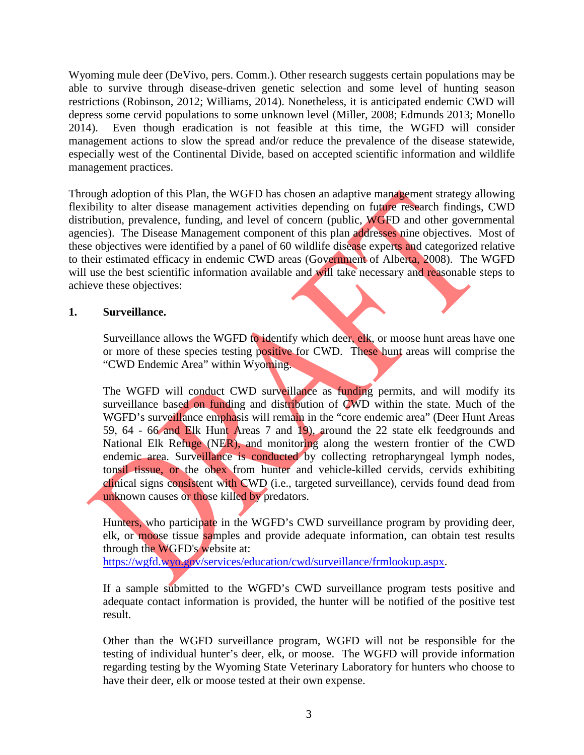Wyoming mule deer (DeVivo, pers. Comm.). Other research suggests certain populations may be able to survive through disease-driven genetic selection and some level of hunting season restrictions (Robinson, 2012; Williams, 2014). Nonetheless, it is anticipated endemic CWD will depress some cervid populations to some unknown level (Miller, 2008; Edmunds 2013; Monello 2014). Even though eradication is not feasible at this time, the WGFD will consider management actions to slow the spread and/or reduce the prevalence of the disease statewide, especially west of the Continental Divide, based on accepted scientific information and wildlife management practices.

Through adoption of this Plan, the WGFD has chosen an adaptive management strategy allowing flexibility to alter disease management activities depending on future research findings, CWD distribution, prevalence, funding, and level of concern (public, WGFD and other governmental agencies). The Disease Management component of this plan addresses nine objectives. Most of these objectives were identified by a panel of 60 wildlife disease experts and categorized relative to their estimated efficacy in endemic CWD areas (Government of Alberta, 2008). The WGFD will use the best scientific information available and will take necessary and reasonable steps to achieve these objectives:

### **1. Surveillance.**

Surveillance allows the WGFD to identify which deer, elk, or moose hunt areas have one or more of these species testing positive for CWD. These hunt areas will comprise the "CWD Endemic Area" within Wyoming.

The WGFD will conduct CWD surveillance as funding permits, and will modify its surveillance based on funding and distribution of CWD within the state. Much of the WGFD's surveillance emphasis will remain in the "core endemic area" (Deer Hunt Areas 59, 64 - 66 and Elk Hunt Areas 7 and 19), around the 22 state elk feedgrounds and National Elk Refuge (NER), and monitoring along the western frontier of the CWD endemic area. Surveillance is conducted by collecting retropharyngeal lymph nodes, tonsil tissue, or the obex from hunter and vehicle-killed cervids, cervids exhibiting clinical signs consistent with CWD (i.e., targeted surveillance), cervids found dead from unknown causes or those killed by predators.

Hunters, who participate in the WGFD's CWD surveillance program by providing deer, elk, or moose tissue samples and provide adequate information, can obtain test results through the WGFD's website at:

[https://wgfd.wyo.gov/services/education/cwd/surveillance/frmlookup.aspx.](https://wgfd.wyo.gov/services/education/cwd/surveillance/frmlookup.aspx)

If a sample submitted to the WGFD's CWD surveillance program tests positive and adequate contact information is provided, the hunter will be notified of the positive test result.

Other than the WGFD surveillance program, WGFD will not be responsible for the testing of individual hunter's deer, elk, or moose. The WGFD will provide information regarding testing by the Wyoming State Veterinary Laboratory for hunters who choose to have their deer, elk or moose tested at their own expense.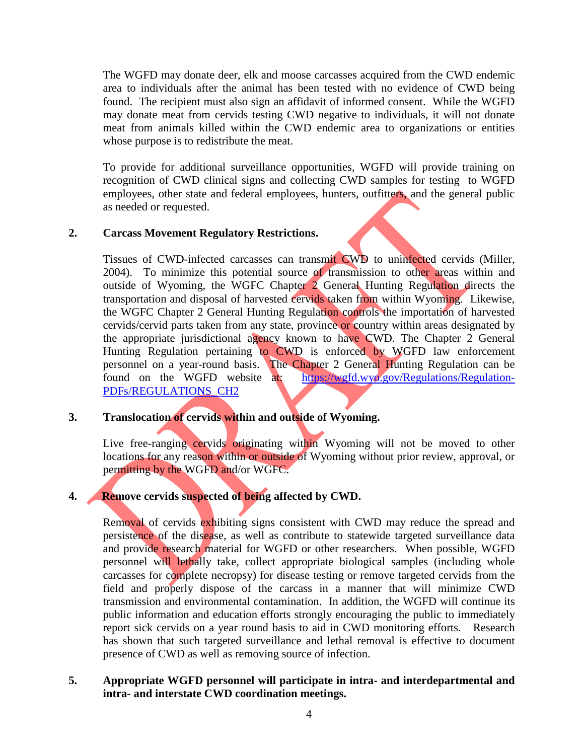The WGFD may donate deer, elk and moose carcasses acquired from the CWD endemic area to individuals after the animal has been tested with no evidence of CWD being found. The recipient must also sign an affidavit of informed consent. While the WGFD may donate meat from cervids testing CWD negative to individuals, it will not donate meat from animals killed within the CWD endemic area to organizations or entities whose purpose is to redistribute the meat.

To provide for additional surveillance opportunities, WGFD will provide training on recognition of CWD clinical signs and collecting CWD samples for testing to WGFD employees, other state and federal employees, hunters, outfitters, and the general public as needed or requested.

### **2. Carcass Movement Regulatory Restrictions.**

Tissues of CWD-infected carcasses can transmit CWD to uninfected cervids (Miller, 2004). To minimize this potential source of transmission to other areas within and outside of Wyoming, the WGFC Chapter 2 General Hunting Regulation directs the transportation and disposal of harvested cervids taken from within Wyoming. Likewise, the WGFC Chapter 2 General Hunting Regulation controls the importation of harvested cervids/cervid parts taken from any state, province or country within areas designated by the appropriate jurisdictional agency known to have CWD. The Chapter 2 General Hunting Regulation pertaining to CWD is enforced by WGFD law enforcement personnel on a year-round basis. The Chapter 2 General Hunting Regulation can be found on the WGFD website at: [https://wgfd.wyo.gov/Regulations/Regulation-](https://wgfd.wyo.gov/Regulations/Regulation-PDFs/REGULATIONS_CH2)[PDFs/REGULATIONS\\_CH2](https://wgfd.wyo.gov/Regulations/Regulation-PDFs/REGULATIONS_CH2)

#### **3. Translocation of cervids within and outside of Wyoming.**

Live free-ranging cervids originating within Wyoming will not be moved to other locations for any reason within or outside of Wyoming without prior review, approval, or permitting by the WGFD and/or WGFC.

# **4. Remove cervids suspected of being affected by CWD.**

Removal of cervids exhibiting signs consistent with CWD may reduce the spread and persistence of the disease, as well as contribute to statewide targeted surveillance data and provide research material for WGFD or other researchers. When possible, WGFD personnel will lethally take, collect appropriate biological samples (including whole carcasses for complete necropsy) for disease testing or remove targeted cervids from the field and properly dispose of the carcass in a manner that will minimize CWD transmission and environmental contamination. In addition, the WGFD will continue its public information and education efforts strongly encouraging the public to immediately report sick cervids on a year round basis to aid in CWD monitoring efforts. Research has shown that such targeted surveillance and lethal removal is effective to document presence of CWD as well as removing source of infection.

**5. Appropriate WGFD personnel will participate in intra- and interdepartmental and intra- and interstate CWD coordination meetings.**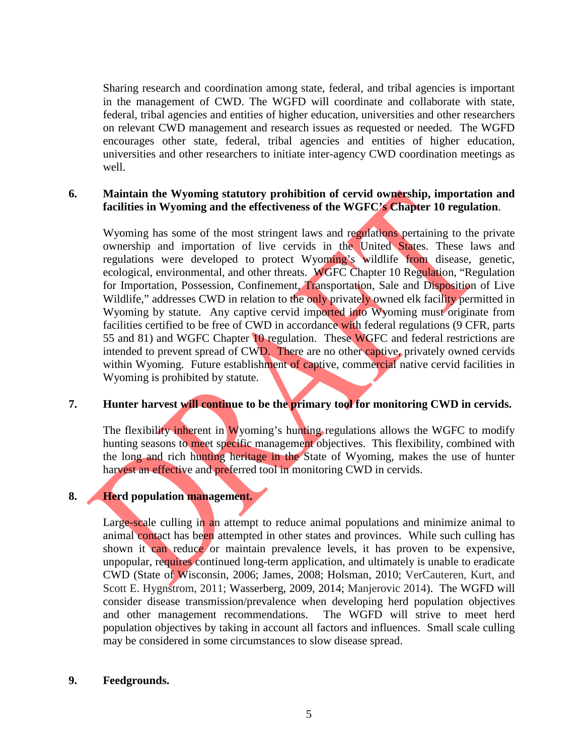Sharing research and coordination among state, federal, and tribal agencies is important in the management of CWD. The WGFD will coordinate and collaborate with state, federal, tribal agencies and entities of higher education, universities and other researchers on relevant CWD management and research issues as requested or needed. The WGFD encourages other state, federal, tribal agencies and entities of higher education, universities and other researchers to initiate inter-agency CWD coordination meetings as well.

### **6. Maintain the Wyoming statutory prohibition of cervid ownership, importation and facilities in Wyoming and the effectiveness of the WGFC's Chapter 10 regulation**.

Wyoming has some of the most stringent laws and regulations pertaining to the private ownership and importation of live cervids in the United States. These laws and regulations were developed to protect Wyoming's wildlife from disease, genetic, ecological, environmental, and other threats. WGFC Chapter 10 Regulation, "Regulation for Importation, Possession, Confinement, Transportation, Sale and Disposition of Live Wildlife," addresses CWD in relation to the only privately owned elk facility permitted in Wyoming by statute. Any captive cervid imported into Wyoming must originate from facilities certified to be free of CWD in accordance with federal regulations (9 CFR, parts 55 and 81) and WGFC Chapter 10 regulation. These WGFC and federal restrictions are intended to prevent spread of CWD. There are no other captive, privately owned cervids within Wyoming. Future establishment of captive, commercial native cervid facilities in Wyoming is prohibited by statute.

#### **7. Hunter harvest will continue to be the primary tool for monitoring CWD in cervids.**

The flexibility inherent in Wyoming's hunting regulations allows the WGFC to modify hunting seasons to meet specific management objectives. This flexibility, combined with the long and rich hunting heritage in the State of Wyoming, makes the use of hunter harvest an effective and preferred tool in monitoring CWD in cervids.

#### **8. Herd population management.**

Large-scale culling in an attempt to reduce animal populations and minimize animal to animal contact has been attempted in other states and provinces. While such culling has shown it can reduce or maintain prevalence levels, it has proven to be expensive, unpopular, requires continued long-term application, and ultimately is unable to eradicate CWD (State of Wisconsin, 2006; James, 2008; Holsman, 2010; VerCauteren, Kurt, and Scott E. Hygnstrom, 2011; Wasserberg, 2009, 2014; Manjerovic 2014). The WGFD will consider disease transmission/prevalence when developing herd population objectives and other management recommendations. The WGFD will strive to meet herd population objectives by taking in account all factors and influences. Small scale culling may be considered in some circumstances to slow disease spread.

#### **9. Feedgrounds.**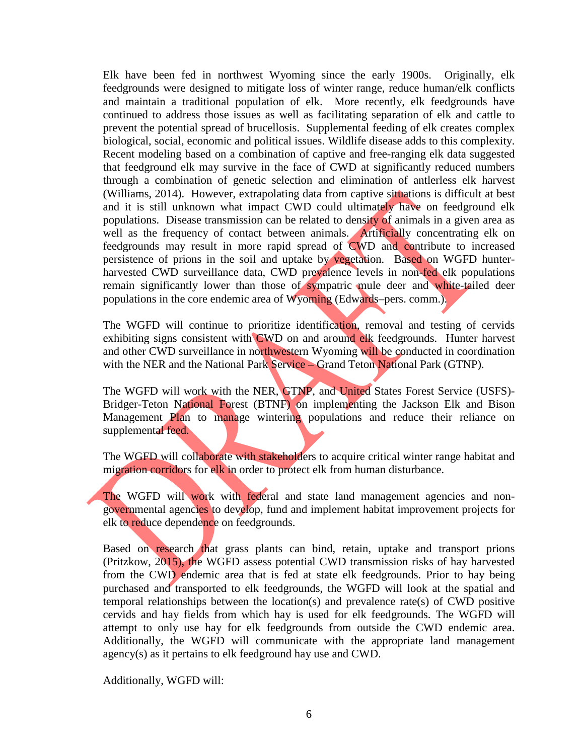Elk have been fed in northwest Wyoming since the early 1900s. Originally, elk feedgrounds were designed to mitigate loss of winter range, reduce human/elk conflicts and maintain a traditional population of elk. More recently, elk feedgrounds have continued to address those issues as well as facilitating separation of elk and cattle to prevent the potential spread of brucellosis. Supplemental feeding of elk creates complex biological, social, economic and political issues. Wildlife disease adds to this complexity. Recent modeling based on a combination of captive and free-ranging elk data suggested that feedground elk may survive in the face of CWD at significantly reduced numbers through a combination of genetic selection and elimination of antlerless elk harvest (Williams, 2014). However, extrapolating data from captive situations is difficult at best and it is still unknown what impact CWD could ultimately have on feedground elk populations. Disease transmission can be related to density of animals in a given area as well as the frequency of contact between animals. Artificially concentrating elk on feedgrounds may result in more rapid spread of CWD and contribute to increased persistence of prions in the soil and uptake by vegetation. Based on WGFD hunterharvested CWD surveillance data, CWD prevalence levels in non-fed elk populations remain significantly lower than those of sympatric mule deer and white-tailed deer populations in the core endemic area of Wyoming (Edwards–pers. comm.).

The WGFD will continue to prioritize identification, removal and testing of cervids exhibiting signs consistent with CWD on and around elk feedgrounds. Hunter harvest and other CWD surveillance in northwestern Wyoming will be conducted in coordination with the NER and the National Park Service – Grand Teton National Park (GTNP).

The WGFD will work with the NER, GTNP, and United States Forest Service (USFS)- Bridger-Teton National Forest (BTNF) on implementing the Jackson Elk and Bison Management Plan to manage wintering populations and reduce their reliance on supplemental feed.

The WGFD will collaborate with stakeholders to acquire critical winter range habitat and migration corridors for elk in order to protect elk from human disturbance.

The WGFD will work with federal and state land management agencies and nongovernmental agencies to develop, fund and implement habitat improvement projects for elk to reduce dependence on feedgrounds.

Based on research that grass plants can bind, retain, uptake and transport prions (Pritzkow, 2015), the WGFD assess potential CWD transmission risks of hay harvested from the CWD endemic area that is fed at state elk feedgrounds. Prior to hay being purchased and transported to elk feedgrounds, the WGFD will look at the spatial and temporal relationships between the location(s) and prevalence rate(s) of CWD positive cervids and hay fields from which hay is used for elk feedgrounds. The WGFD will attempt to only use hay for elk feedgrounds from outside the CWD endemic area. Additionally, the WGFD will communicate with the appropriate land management agency(s) as it pertains to elk feedground hay use and CWD.

Additionally, WGFD will: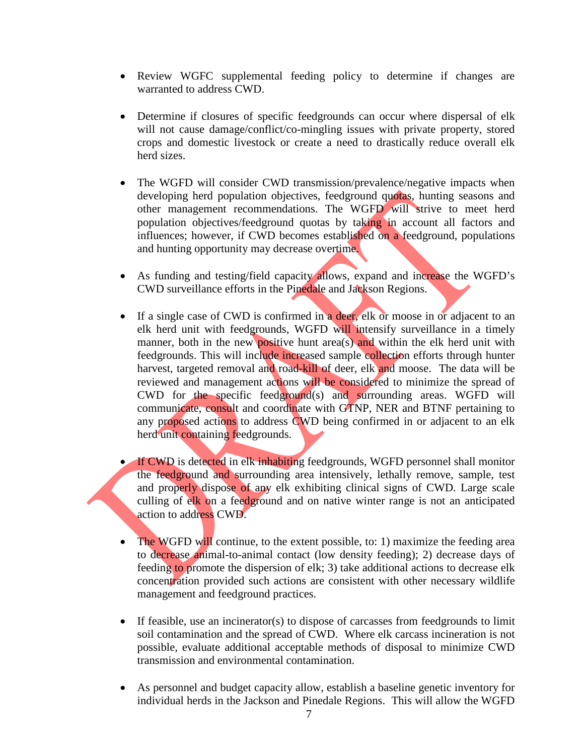- Review WGFC supplemental feeding policy to determine if changes are warranted to address CWD.
- Determine if closures of specific feedgrounds can occur where dispersal of elk will not cause damage/conflict/co-mingling issues with private property, stored crops and domestic livestock or create a need to drastically reduce overall elk herd sizes.
- The WGFD will consider CWD transmission/prevalence/negative impacts when developing herd population objectives, feedground quotas, hunting seasons and other management recommendations. The WGFD will strive to meet herd population objectives/feedground quotas by taking in account all factors and influences; however, if CWD becomes established on a feedground, populations and hunting opportunity may decrease overtime.
- As funding and testing/field capacity allows, expand and increase the WGFD's CWD surveillance efforts in the Pinedale and Jackson Regions.
- If a single case of CWD is confirmed in a deer, elk or moose in or adjacent to an elk herd unit with feedgrounds, WGFD will intensify surveillance in a timely manner, both in the new positive hunt area(s) and within the elk herd unit with feedgrounds. This will include increased sample collection efforts through hunter harvest, targeted removal and road-kill of deer, elk and moose. The data will be reviewed and management actions will be considered to minimize the spread of CWD for the specific feedground(s) and surrounding areas. WGFD will communicate, consult and coordinate with GTNP, NER and BTNF pertaining to any proposed actions to address CWD being confirmed in or adjacent to an elk herd unit containing feedgrounds.

• If CWD is detected in elk inhabiting feedgrounds, WGFD personnel shall monitor the feedground and surrounding area intensively, lethally remove, sample, test and properly dispose of any elk exhibiting clinical signs of CWD. Large scale culling of elk on a feedground and on native winter range is not an anticipated action to address CWD.

- The WGFD will continue, to the extent possible, to: 1) maximize the feeding area to decrease animal-to-animal contact (low density feeding); 2) decrease days of feeding to promote the dispersion of elk; 3) take additional actions to decrease elk concentration provided such actions are consistent with other necessary wildlife management and feedground practices.
- If feasible, use an incinerator(s) to dispose of carcasses from feedgrounds to limit soil contamination and the spread of CWD. Where elk carcass incineration is not possible, evaluate additional acceptable methods of disposal to minimize CWD transmission and environmental contamination.
- As personnel and budget capacity allow, establish a baseline genetic inventory for individual herds in the Jackson and Pinedale Regions. This will allow the WGFD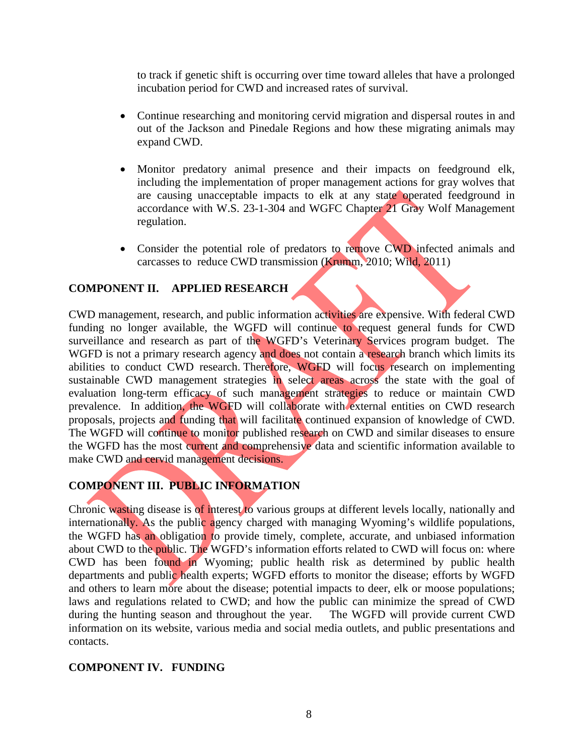to track if genetic shift is occurring over time toward alleles that have a prolonged incubation period for CWD and increased rates of survival.

- Continue researching and monitoring cervid migration and dispersal routes in and out of the Jackson and Pinedale Regions and how these migrating animals may expand CWD.
- Monitor predatory animal presence and their impacts on feedground elk, including the implementation of proper management actions for gray wolves that are causing unacceptable impacts to elk at any state operated feedground in accordance with W.S. 23-1-304 and WGFC Chapter 21 Gray Wolf Management regulation.
- Consider the potential role of predators to remove CWD infected animals and carcasses to reduce CWD transmission (Krumm, 2010; Wild, 2011)

### **COMPONENT II. APPLIED RESEARCH**

CWD management, research, and public information activities are expensive. With federal CWD funding no longer available, the WGFD will continue to request general funds for CWD surveillance and research as part of the WGFD's Veterinary Services program budget. The WGFD is not a primary research agency and does not contain a research branch which limits its abilities to conduct CWD research. Therefore, WGFD will focus research on implementing sustainable CWD management strategies in select areas across the state with the goal of evaluation long-term efficacy of such management strategies to reduce or maintain CWD prevalence. In addition, the WGFD will collaborate with external entities on CWD research proposals, projects and funding that will facilitate continued expansion of knowledge of CWD. The WGFD will continue to monitor published research on CWD and similar diseases to ensure the WGFD has the most current and comprehensive data and scientific information available to make CWD and cervid management decisions.

# **COMPONENT III. PUBLIC INFORMATION**

Chronic wasting disease is of interest to various groups at different levels locally, nationally and internationally. As the public agency charged with managing Wyoming's wildlife populations, the WGFD has an obligation to provide timely, complete, accurate, and unbiased information about CWD to the public. The WGFD's information efforts related to CWD will focus on: where CWD has been found in Wyoming; public health risk as determined by public health departments and public health experts; WGFD efforts to monitor the disease; efforts by WGFD and others to learn more about the disease; potential impacts to deer, elk or moose populations; laws and regulations related to CWD; and how the public can minimize the spread of CWD during the hunting season and throughout the year. The WGFD will provide current CWD information on its website, various media and social media outlets, and public presentations and contacts.

#### **COMPONENT IV. FUNDING**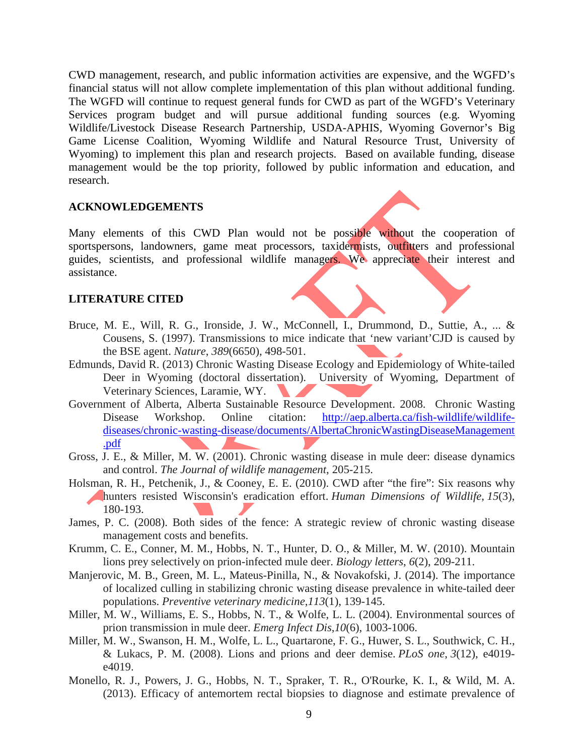CWD management, research, and public information activities are expensive, and the WGFD's financial status will not allow complete implementation of this plan without additional funding. The WGFD will continue to request general funds for CWD as part of the WGFD's Veterinary Services program budget and will pursue additional funding sources (e.g. Wyoming Wildlife/Livestock Disease Research Partnership, USDA-APHIS, Wyoming Governor's Big Game License Coalition, Wyoming Wildlife and Natural Resource Trust, University of Wyoming) to implement this plan and research projects. Based on available funding, disease management would be the top priority, followed by public information and education, and research.

#### **ACKNOWLEDGEMENTS**

Many elements of this CWD Plan would not be possible without the cooperation of sportspersons, landowners, game meat processors, taxidermists, outfitters and professional guides, scientists, and professional wildlife managers. We appreciate their interest and assistance.

#### **LITERATURE CITED**

- Bruce, M. E., Will, R. G., Ironside, J. W., McConnell, I., Drummond, D., Suttie, A., ... & Cousens, S. (1997). Transmissions to mice indicate that 'new variant'CJD is caused by the BSE agent. *Nature*, *389*(6650), 498-501.
- Edmunds, David R. (2013) Chronic Wasting Disease Ecology and Epidemiology of White-tailed Deer in Wyoming (doctoral dissertation). University of Wyoming, Department of Veterinary Sciences, Laramie, WY.
- Government of Alberta, Alberta Sustainable Resource Development. 2008. Chronic Wasting Disease Workshop. Online citation: [http://aep.alberta.ca/fish-wildlife/wildlife](http://aep.alberta.ca/fish-wildlife/wildlife-diseases/chronic-wasting-disease/documents/AlbertaChronicWastingDiseaseManagement%20.pdf)[diseases/chronic-wasting-disease/documents/AlbertaChronicWastingDiseaseManagement](http://aep.alberta.ca/fish-wildlife/wildlife-diseases/chronic-wasting-disease/documents/AlbertaChronicWastingDiseaseManagement%20.pdf)  [.pdf](http://aep.alberta.ca/fish-wildlife/wildlife-diseases/chronic-wasting-disease/documents/AlbertaChronicWastingDiseaseManagement%20.pdf)
- Gross, J. E., & Miller, M. W. (2001). Chronic wasting disease in mule deer: disease dynamics and control. *The Journal of wildlife management*, 205-215.
- Holsman, R. H., Petchenik, J., & Cooney, E. E. (2010). CWD after "the fire": Six reasons why hunters resisted Wisconsin's eradication effort. *Human Dimensions of Wildlife*, *15*(3), 180-193.
- James, P. C. (2008). Both sides of the fence: A strategic review of chronic wasting disease management costs and benefits.
- Krumm, C. E., Conner, M. M., Hobbs, N. T., Hunter, D. O., & Miller, M. W. (2010). Mountain lions prey selectively on prion-infected mule deer. *Biology letters*, *6*(2), 209-211.
- Manjerovic, M. B., Green, M. L., Mateus-Pinilla, N., & Novakofski, J. (2014). The importance of localized culling in stabilizing chronic wasting disease prevalence in white-tailed deer populations. *Preventive veterinary medicine*,*113*(1), 139-145.
- Miller, M. W., Williams, E. S., Hobbs, N. T., & Wolfe, L. L. (2004). Environmental sources of prion transmission in mule deer. *Emerg Infect Dis*,*10*(6), 1003-1006.
- Miller, M. W., Swanson, H. M., Wolfe, L. L., Quartarone, F. G., Huwer, S. L., Southwick, C. H., & Lukacs, P. M. (2008). Lions and prions and deer demise. *PLoS one*, *3*(12), e4019 e4019.
- Monello, R. J., Powers, J. G., Hobbs, N. T., Spraker, T. R., O'Rourke, K. I., & Wild, M. A. (2013). Efficacy of antemortem rectal biopsies to diagnose and estimate prevalence of